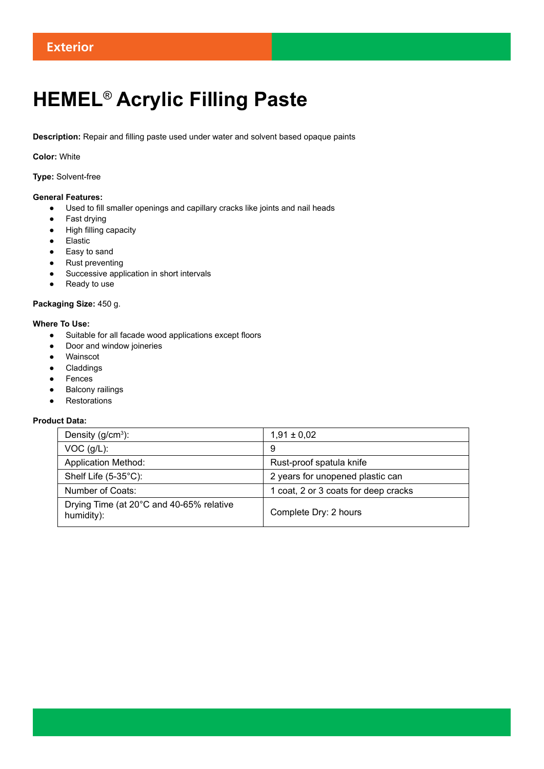# **HEMEL**® **Acrylic Filling Paste**

**Description:** Repair and filling paste used under water and solvent based opaque paints

**Color:** White

**Type:** Solvent-free

## **General Features:**

- Used to fill smaller openings and capillary cracks like joints and nail heads
- Fast drying
- High filling capacity
- Elastic
- Easy to sand
- Rust preventing
- Successive application in short intervals
- Ready to use

## **Packaging Size:** 450 g.

## **Where To Use:**

- Suitable for all facade wood applications except floors
- Door and window joineries
- Wainscot
- Claddings
- Fences
- Balcony railings
- Restorations

## **Product Data:**

| Density $(g/cm3)$ :                                    | $1,91 \pm 0,02$                      |
|--------------------------------------------------------|--------------------------------------|
| $VOC$ (g/L):                                           | 9                                    |
| <b>Application Method:</b>                             | Rust-proof spatula knife             |
| Shelf Life $(5-35^{\circ}C)$ :                         | 2 years for unopened plastic can     |
| Number of Coats:                                       | 1 coat, 2 or 3 coats for deep cracks |
| Drying Time (at 20°C and 40-65% relative<br>humidity): | Complete Dry: 2 hours                |